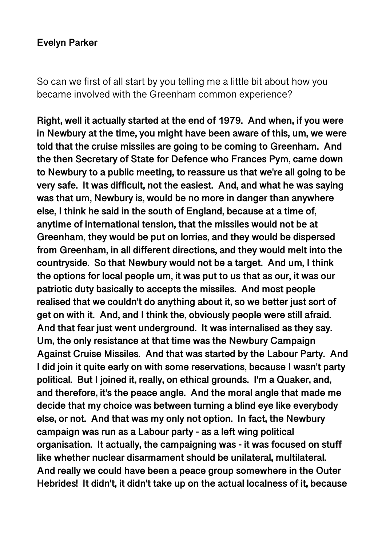#### **Evelyn Parker**

So can we first of all start by you telling me a little bit about how you became involved with the Greenham common experience?

**Right, well it actually started at the end of 1979. And when, if you were in Newbury at the time, you might have been aware of this, um, we were told that the cruise missiles are going to be coming to Greenham. And the then Secretary of State for Defence who Frances Pym, came down to Newbury to a public meeting, to reassure us that we're all going to be very safe. It was difficult, not the easiest. And, and what he was saying was that um, Newbury is, would be no more in danger than anywhere else, I think he said in the south of England, because at a time of, anytime of international tension, that the missiles would not be at Greenham, they would be put on lorries, and they would be dispersed from Greenham, in all different directions, and they would melt into the countryside. So that Newbury would not be a target. And um, I think the options for local people um, it was put to us that as our, it was our patriotic duty basically to accepts the missiles. And most people realised that we couldn't do anything about it, so we better just sort of get on with it. And, and I think the, obviously people were still afraid. And that fear just went underground. It was internalised as they say. Um, the only resistance at that time was the Newbury Campaign Against Cruise Missiles. And that was started by the Labour Party. And I did join it quite early on with some reservations, because I wasn't party political. But I joined it, really, on ethical grounds. I'm a Quaker, and, and therefore, it's the peace angle. And the moral angle that made me decide that my choice was between turning a blind eye like everybody else, or not. And that was my only not option. In fact, the Newbury campaign was run as a Labour party - as a left wing political organisation. It actually, the campaigning was - it was focused on stuff like whether nuclear disarmament should be unilateral, multilateral. And really we could have been a peace group somewhere in the Outer Hebrides! It didn't, it didn't take up on the actual localness of it, because**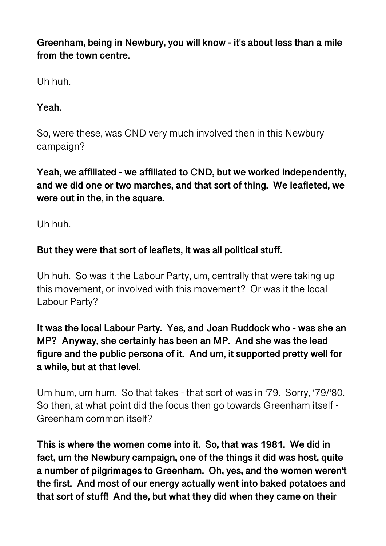**Greenham, being in Newbury, you will know - it's about less than a mile from the town centre.** 

Uh huh.

**Yeah.** 

So, were these, was CND very much involved then in this Newbury campaign?

**Yeah, we affiliated - we affiliated to CND, but we worked independently, and we did one or two marches, and that sort of thing. We leafleted, we were out in the, in the square.** 

Uh huh.

# **But they were that sort of leaflets, it was all political stuff.**

Uh huh. So was it the Labour Party, um, centrally that were taking up this movement, or involved with this movement? Or was it the local Labour Party?

**It was the local Labour Party. Yes, and Joan Ruddock who - was she an MP? Anyway, she certainly has been an MP. And she was the lead figure and the public persona of it. And um, it supported pretty well for a while, but at that level.** 

Um hum, um hum. So that takes - that sort of was in '79. Sorry, '79/'80. So then, at what point did the focus then go towards Greenham itself - Greenham common itself?

**This is where the women come into it. So, that was 1981. We did in fact, um the Newbury campaign, one of the things it did was host, quite a number of pilgrimages to Greenham. Oh, yes, and the women weren't the first. And most of our energy actually went into baked potatoes and that sort of stuff! And the, but what they did when they came on their**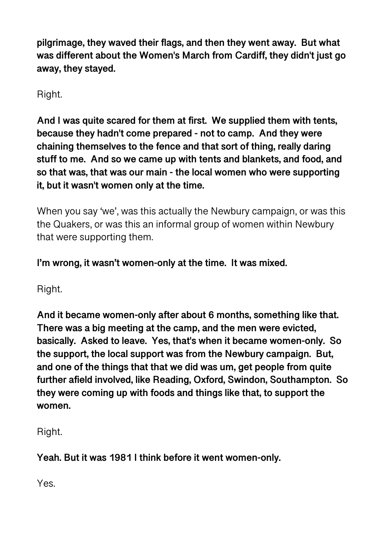**pilgrimage, they waved their flags, and then they went away. But what was different about the Women's March from Cardiff, they didn't just go away, they stayed.** 

Right.

**And I was quite scared for them at first. We supplied them with tents, because they hadn't come prepared - not to camp. And they were chaining themselves to the fence and that sort of thing, really daring stuff to me. And so we came up with tents and blankets, and food, and so that was, that was our main - the local women who were supporting it, but it wasn't women only at the time.** 

When you say 'we', was this actually the Newbury campaign, or was this the Quakers, or was this an informal group of women within Newbury that were supporting them.

**I'm wrong, it wasn't women-only at the time. It was mixed.** 

Right.

**And it became women-only after about 6 months, something like that. There was a big meeting at the camp, and the men were evicted, basically. Asked to leave. Yes, that's when it became women-only. So the support, the local support was from the Newbury campaign. But, and one of the things that that we did was um, get people from quite further afield involved, like Reading, Oxford, Swindon, Southampton. So they were coming up with foods and things like that, to support the women.** 

Right.

**Yeah. But it was 1981 I think before it went women-only.** 

Yes.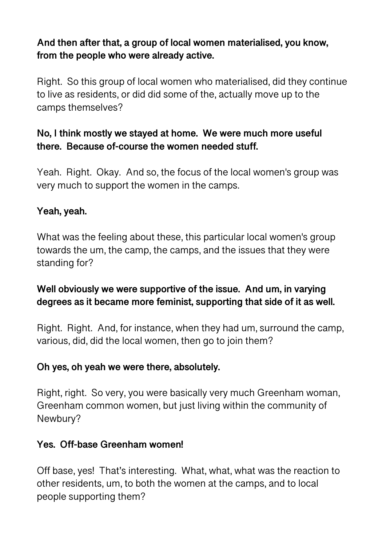## **And then after that, a group of local women materialised, you know, from the people who were already active.**

Right. So this group of local women who materialised, did they continue to live as residents, or did did some of the, actually move up to the camps themselves?

## **No, I think mostly we stayed at home. We were much more useful there. Because of-course the women needed stuff.**

Yeah. Right. Okay. And so, the focus of the local women's group was very much to support the women in the camps.

## **Yeah, yeah.**

What was the feeling about these, this particular local women's group towards the um, the camp, the camps, and the issues that they were standing for?

## **Well obviously we were supportive of the issue. And um, in varying degrees as it became more feminist, supporting that side of it as well.**

Right. Right. And, for instance, when they had um, surround the camp, various, did, did the local women, then go to join them?

## **Oh yes, oh yeah we were there, absolutely.**

Right, right. So very, you were basically very much Greenham woman, Greenham common women, but just living within the community of Newbury?

## **Yes. Off-base Greenham women!**

Off base, yes! That's interesting. What, what, what was the reaction to other residents, um, to both the women at the camps, and to local people supporting them?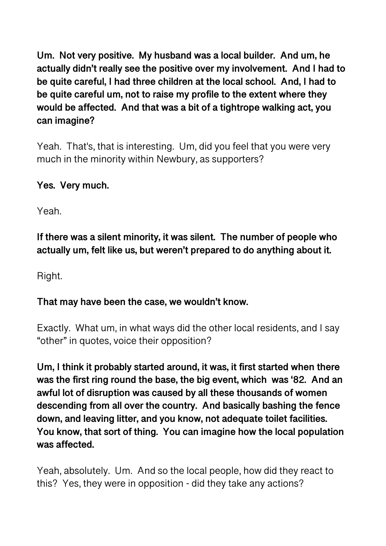**Um. Not very positive. My husband was a local builder. And um, he actually didn't really see the positive over my involvement. And I had to be quite careful, I had three children at the local school. And, I had to be quite careful um, not to raise my profile to the extent where they would be affected. And that was a bit of a tightrope walking act, you can imagine?** 

Yeah. That's, that is interesting. Um, did you feel that you were very much in the minority within Newbury, as supporters?

## **Yes. Very much.**

Yeah.

**If there was a silent minority, it was silent. The number of people who actually um, felt like us, but weren't prepared to do anything about it.** 

Right.

#### **That may have been the case, we wouldn't know.**

Exactly. What um, in what ways did the other local residents, and I say "other" in quotes, voice their opposition?

**Um, I think it probably started around, it was, it first started when there was the first ring round the base, the big event, which was '82. And an awful lot of disruption was caused by all these thousands of women descending from all over the country. And basically bashing the fence down, and leaving litter, and you know, not adequate toilet facilities. You know, that sort of thing. You can imagine how the local population was affected.**

Yeah, absolutely. Um. And so the local people, how did they react to this? Yes, they were in opposition - did they take any actions?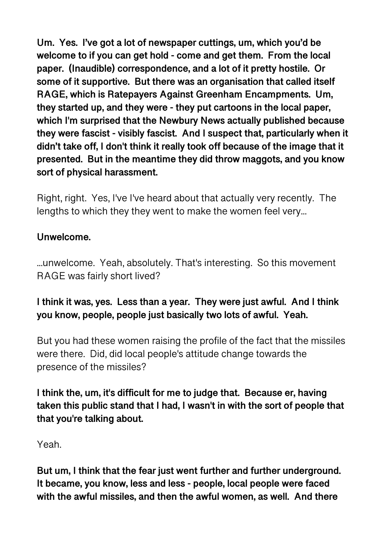**Um. Yes. I've got a lot of newspaper cuttings, um, which you'd be welcome to if you can get hold - come and get them. From the local paper. (Inaudible) correspondence, and a lot of it pretty hostile. Or some of it supportive. But there was an organisation that called itself RAGE, which is Ratepayers Against Greenham Encampments. Um, they started up, and they were - they put cartoons in the local paper, which I'm surprised that the Newbury News actually published because they were fascist - visibly fascist. And I suspect that, particularly when it didn't take off, I don't think it really took off because of the image that it presented. But in the meantime they did throw maggots, and you know sort of physical harassment.** 

Right, right. Yes, I've I've heard about that actually very recently. The lengths to which they they went to make the women feel very...

### **Unwelcome.**

...unwelcome. Yeah, absolutely. That's interesting. So this movement RAGE was fairly short lived?

**I think it was, yes. Less than a year. They were just awful. And I think you know, people, people just basically two lots of awful. Yeah.** 

But you had these women raising the profile of the fact that the missiles were there. Did, did local people's attitude change towards the presence of the missiles?

**I think the, um, it's difficult for me to judge that. Because er, having taken this public stand that I had, I wasn't in with the sort of people that that you're talking about.** 

Yeah.

**But um, I think that the fear just went further and further underground. It became, you know, less and less - people, local people were faced with the awful missiles, and then the awful women, as well. And there**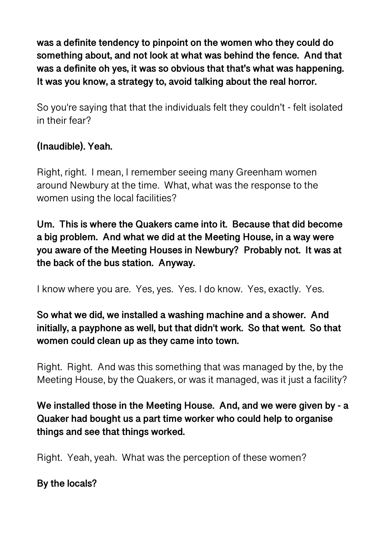**was a definite tendency to pinpoint on the women who they could do something about, and not look at what was behind the fence. And that was a definite oh yes, it was so obvious that that's what was happening. It was you know, a strategy to, avoid talking about the real horror.**

So you're saying that that the individuals felt they couldn't - felt isolated in their fear?

## **(Inaudible). Yeah.**

Right, right. I mean, I remember seeing many Greenham women around Newbury at the time. What, what was the response to the women using the local facilities?

**Um. This is where the Quakers came into it. Because that did become a big problem. And what we did at the Meeting House, in a way were you aware of the Meeting Houses in Newbury? Probably not. It was at the back of the bus station. Anyway.** 

I know where you are. Yes, yes. Yes. I do know. Yes, exactly. Yes.

## **So what we did, we installed a washing machine and a shower. And initially, a payphone as well, but that didn't work. So that went. So that women could clean up as they came into town.**

Right. Right. And was this something that was managed by the, by the Meeting House, by the Quakers, or was it managed, was it just a facility?

**We installed those in the Meeting House. And, and we were given by - a Quaker had bought us a part time worker who could help to organise things and see that things worked.** 

Right. Yeah, yeah. What was the perception of these women?

**By the locals?**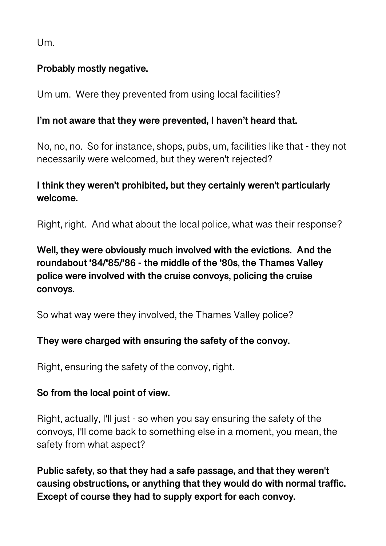$U<sub>m</sub>$ 

## **Probably mostly negative.**

Um um. Were they prevented from using local facilities?

## **I'm not aware that they were prevented, I haven't heard that.**

No, no, no. So for instance, shops, pubs, um, facilities like that - they not necessarily were welcomed, but they weren't rejected?

# **I think they weren't prohibited, but they certainly weren't particularly welcome.**

Right, right. And what about the local police, what was their response?

# **Well, they were obviously much involved with the evictions. And the roundabout '84/'85/'86 - the middle of the '80s, the Thames Valley police were involved with the cruise convoys, policing the cruise convoys.**

So what way were they involved, the Thames Valley police?

## **They were charged with ensuring the safety of the convoy.**

Right, ensuring the safety of the convoy, right.

## **So from the local point of view.**

Right, actually, I'll just - so when you say ensuring the safety of the convoys, I'll come back to something else in a moment, you mean, the safety from what aspect?

**Public safety, so that they had a safe passage, and that they weren't causing obstructions, or anything that they would do with normal traffic. Except of course they had to supply export for each convoy.**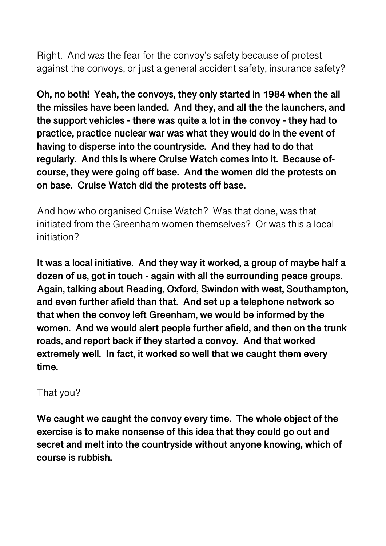Right. And was the fear for the convoy's safety because of protest against the convoys, or just a general accident safety, insurance safety?

**Oh, no both! Yeah, the convoys, they only started in 1984 when the all the missiles have been landed. And they, and all the the launchers, and the support vehicles - there was quite a lot in the convoy - they had to practice, practice nuclear war was what they would do in the event of having to disperse into the countryside. And they had to do that regularly. And this is where Cruise Watch comes into it. Because ofcourse, they were going off base. And the women did the protests on on base. Cruise Watch did the protests off base.** 

And how who organised Cruise Watch? Was that done, was that initiated from the Greenham women themselves? Or was this a local initiation?

**It was a local initiative. And they way it worked, a group of maybe half a dozen of us, got in touch - again with all the surrounding peace groups. Again, talking about Reading, Oxford, Swindon with west, Southampton, and even further afield than that. And set up a telephone network so that when the convoy left Greenham, we would be informed by the women. And we would alert people further afield, and then on the trunk roads, and report back if they started a convoy. And that worked extremely well. In fact, it worked so well that we caught them every time.** 

## That you?

**We caught we caught the convoy every time. The whole object of the exercise is to make nonsense of this idea that they could go out and secret and melt into the countryside without anyone knowing, which of course is rubbish.**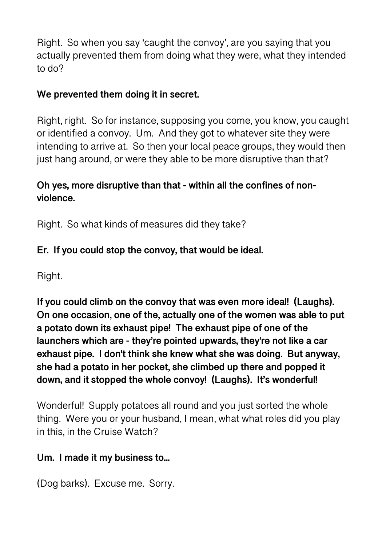Right. So when you say 'caught the convoy', are you saying that you actually prevented them from doing what they were, what they intended to do?

## **We prevented them doing it in secret.**

Right, right. So for instance, supposing you come, you know, you caught or identified a convoy. Um. And they got to whatever site they were intending to arrive at. So then your local peace groups, they would then just hang around, or were they able to be more disruptive than that?

## **Oh yes, more disruptive than that - within all the confines of nonviolence.**

Right. So what kinds of measures did they take?

# **Er. If you could stop the convoy, that would be ideal.**

Right.

**If you could climb on the convoy that was even more ideal! (Laughs). On one occasion, one of the, actually one of the women was able to put a potato down its exhaust pipe! The exhaust pipe of one of the launchers which are - they're pointed upwards, they're not like a car exhaust pipe. I don't think she knew what she was doing. But anyway, she had a potato in her pocket, she climbed up there and popped it down, and it stopped the whole convoy! (Laughs). It's wonderful!** 

Wonderful! Supply potatoes all round and you just sorted the whole thing. Were you or your husband, I mean, what what roles did you play in this, in the Cruise Watch?

## **Um. I made it my business to...**

(Dog barks). Excuse me. Sorry.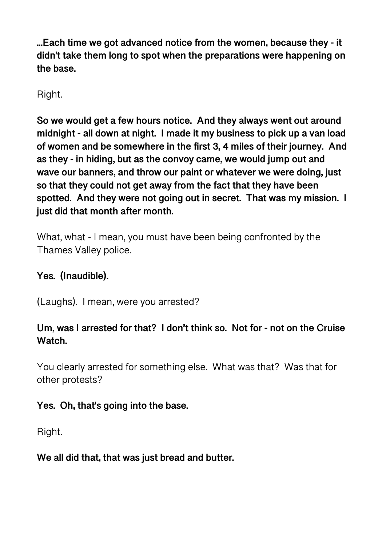**...Each time we got advanced notice from the women, because they - it didn't take them long to spot when the preparations were happening on the base.** 

Right.

**So we would get a few hours notice. And they always went out around midnight - all down at night. I made it my business to pick up a van load of women and be somewhere in the first 3, 4 miles of their journey. And as they - in hiding, but as the convoy came, we would jump out and wave our banners, and throw our paint or whatever we were doing, just so that they could not get away from the fact that they have been spotted. And they were not going out in secret. That was my mission. I just did that month after month.** 

What, what - I mean, you must have been being confronted by the Thames Valley police.

## **Yes. (Inaudible).**

(Laughs). I mean, were you arrested?

## **Um, was I arrested for that? I don't think so. Not for - not on the Cruise Watch.**

You clearly arrested for something else. What was that? Was that for other protests?

#### **Yes. Oh, that's going into the base.**

Right.

#### **We all did that, that was just bread and butter.**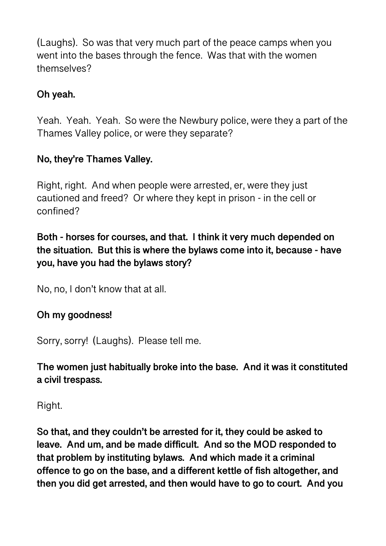(Laughs). So was that very much part of the peace camps when you went into the bases through the fence. Was that with the women themselves?

## **Oh yeah.**

Yeah. Yeah. Yeah. So were the Newbury police, were they a part of the Thames Valley police, or were they separate?

## **No, they're Thames Valley.**

Right, right. And when people were arrested, er, were they just cautioned and freed? Or where they kept in prison - in the cell or confined?

## **Both - horses for courses, and that. I think it very much depended on the situation. But this is where the bylaws come into it, because - have you, have you had the bylaws story?**

No, no, I don't know that at all.

## **Oh my goodness!**

Sorry, sorry! (Laughs). Please tell me.

**The women just habitually broke into the base. And it was it constituted a civil trespass.** 

Right.

**So that, and they couldn't be arrested for it, they could be asked to leave. And um, and be made difficult. And so the MOD responded to that problem by instituting bylaws. And which made it a criminal offence to go on the base, and a different kettle of fish altogether, and then you did get arrested, and then would have to go to court. And you**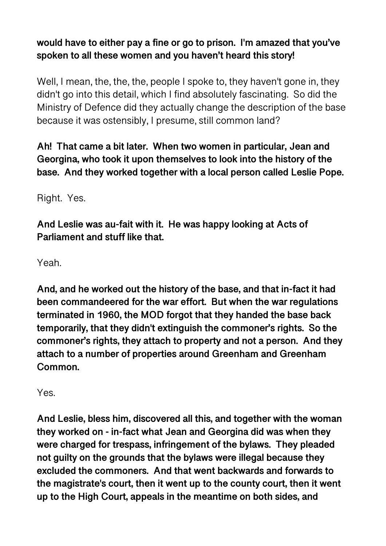# **would have to either pay a fine or go to prison. I'm amazed that you've spoken to all these women and you haven't heard this story!**

Well, I mean, the, the, the, people I spoke to, they haven't gone in, they didn't go into this detail, which I find absolutely fascinating. So did the Ministry of Defence did they actually change the description of the base because it was ostensibly, I presume, still common land?

**Ah! That came a bit later. When two women in particular, Jean and Georgina, who took it upon themselves to look into the history of the base. And they worked together with a local person called Leslie Pope.** 

Right. Yes.

**And Leslie was au-fait with it. He was happy looking at Acts of Parliament and stuff like that.** 

Yeah.

**And, and he worked out the history of the base, and that in-fact it had been commandeered for the war effort. But when the war regulations terminated in 1960, the MOD forgot that they handed the base back temporarily, that they didn't extinguish the commoner's rights. So the commoner's rights, they attach to property and not a person. And they attach to a number of properties around Greenham and Greenham Common.** 

Yes.

**And Leslie, bless him, discovered all this, and together with the woman they worked on - in-fact what Jean and Georgina did was when they were charged for trespass, infringement of the bylaws. They pleaded not guilty on the grounds that the bylaws were illegal because they excluded the commoners. And that went backwards and forwards to the magistrate's court, then it went up to the county court, then it went up to the High Court, appeals in the meantime on both sides, and**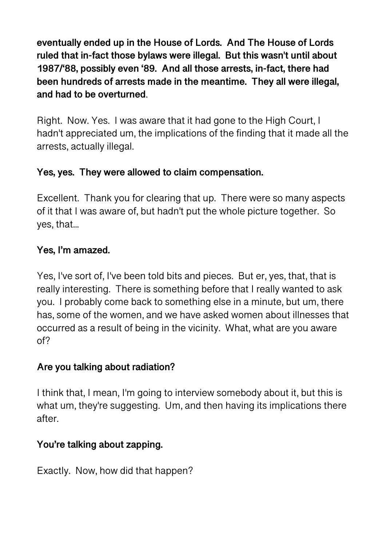**eventually ended up in the House of Lords. And The House of Lords ruled that in-fact those bylaws were illegal. But this wasn't until about 1987/'88, possibly even '89. And all those arrests, in-fact, there had been hundreds of arrests made in the meantime. They all were illegal, and had to be overturned**.

Right. Now. Yes. I was aware that it had gone to the High Court, I hadn't appreciated um, the implications of the finding that it made all the arrests, actually illegal.

## **Yes, yes. They were allowed to claim compensation.**

Excellent. Thank you for clearing that up. There were so many aspects of it that I was aware of, but hadn't put the whole picture together. So yes, that...

## **Yes, I'm amazed.**

Yes, I've sort of, I've been told bits and pieces. But er, yes, that, that is really interesting. There is something before that I really wanted to ask you. I probably come back to something else in a minute, but um, there has, some of the women, and we have asked women about illnesses that occurred as a result of being in the vicinity. What, what are you aware of?

## **Are you talking about radiation?**

I think that, I mean, I'm going to interview somebody about it, but this is what um, they're suggesting. Um, and then having its implications there after.

## **You're talking about zapping.**

Exactly. Now, how did that happen?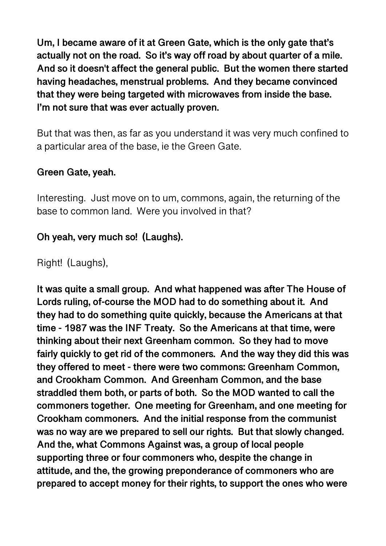**Um, I became aware of it at Green Gate, which is the only gate that's actually not on the road. So it's way off road by about quarter of a mile. And so it doesn't affect the general public. But the women there started having headaches, menstrual problems. And they became convinced that they were being targeted with microwaves from inside the base. I'm not sure that was ever actually proven.** 

But that was then, as far as you understand it was very much confined to a particular area of the base, ie the Green Gate.

#### **Green Gate, yeah.**

Interesting. Just move on to um, commons, again, the returning of the base to common land. Were you involved in that?

### **Oh yeah, very much so! (Laughs).**

Right! (Laughs),

**It was quite a small group. And what happened was after The House of Lords ruling, of-course the MOD had to do something about it. And they had to do something quite quickly, because the Americans at that time - 1987 was the INF Treaty. So the Americans at that time, were thinking about their next Greenham common. So they had to move fairly quickly to get rid of the commoners. And the way they did this was they offered to meet - there were two commons: Greenham Common, and Crookham Common. And Greenham Common, and the base straddled them both, or parts of both. So the MOD wanted to call the commoners together. One meeting for Greenham, and one meeting for Crookham commoners. And the initial response from the communist was no way are we prepared to sell our rights. But that slowly changed. And the, what Commons Against was, a group of local people supporting three or four commoners who, despite the change in attitude, and the, the growing preponderance of commoners who are prepared to accept money for their rights, to support the ones who were**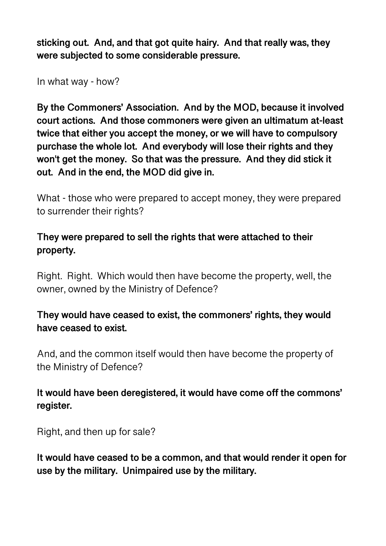**sticking out. And, and that got quite hairy. And that really was, they were subjected to some considerable pressure.** 

In what way - how?

**By the Commoners' Association. And by the MOD, because it involved court actions. And those commoners were given an ultimatum at-least twice that either you accept the money, or we will have to compulsory purchase the whole lot. And everybody will lose their rights and they won't get the money. So that was the pressure. And they did stick it out. And in the end, the MOD did give in.** 

What - those who were prepared to accept money, they were prepared to surrender their rights?

### **They were prepared to sell the rights that were attached to their property.**

Right. Right. Which would then have become the property, well, the owner, owned by the Ministry of Defence?

### **They would have ceased to exist, the commoners' rights, they would have ceased to exist.**

And, and the common itself would then have become the property of the Ministry of Defence?

### **It would have been deregistered, it would have come off the commons' register.**

Right, and then up for sale?

**It would have ceased to be a common, and that would render it open for use by the military. Unimpaired use by the military.**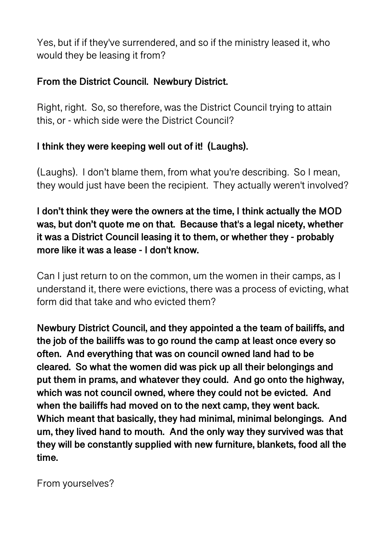Yes, but if if they've surrendered, and so if the ministry leased it, who would they be leasing it from?

## **From the District Council. Newbury District.**

Right, right. So, so therefore, was the District Council trying to attain this, or - which side were the District Council?

## **I think they were keeping well out of it! (Laughs).**

(Laughs). I don't blame them, from what you're describing. So I mean, they would just have been the recipient. They actually weren't involved?

**I don't think they were the owners at the time, I think actually the MOD was, but don't quote me on that. Because that's a legal nicety, whether it was a District Council leasing it to them, or whether they - probably more like it was a lease - I don't know.** 

Can I just return to on the common, um the women in their camps, as I understand it, there were evictions, there was a process of evicting, what form did that take and who evicted them?

**Newbury District Council, and they appointed a the team of bailiffs, and the job of the bailiffs was to go round the camp at least once every so often. And everything that was on council owned land had to be cleared. So what the women did was pick up all their belongings and put them in prams, and whatever they could. And go onto the highway, which was not council owned, where they could not be evicted. And when the bailiffs had moved on to the next camp, they went back. Which meant that basically, they had minimal, minimal belongings. And um, they lived hand to mouth. And the only way they survived was that they will be constantly supplied with new furniture, blankets, food all the time.** 

From yourselves?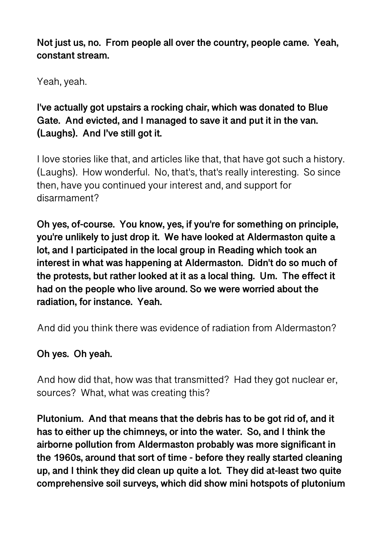**Not just us, no. From people all over the country, people came. Yeah, constant stream.** 

Yeah, yeah.

**I've actually got upstairs a rocking chair, which was donated to Blue Gate. And evicted, and I managed to save it and put it in the van. (Laughs). And I've still got it.** 

I love stories like that, and articles like that, that have got such a history. (Laughs). How wonderful. No, that's, that's really interesting. So since then, have you continued your interest and, and support for disarmament?

**Oh yes, of-course. You know, yes, if you're for something on principle, you're unlikely to just drop it. We have looked at Aldermaston quite a lot, and I participated in the local group in Reading which took an interest in what was happening at Aldermaston. Didn't do so much of the protests, but rather looked at it as a local thing. Um. The effect it had on the people who live around. So we were worried about the radiation, for instance. Yeah.** 

And did you think there was evidence of radiation from Aldermaston?

## **Oh yes. Oh yeah.**

And how did that, how was that transmitted? Had they got nuclear er, sources? What, what was creating this?

**Plutonium. And that means that the debris has to be got rid of, and it has to either up the chimneys, or into the water. So, and I think the airborne pollution from Aldermaston probably was more significant in the 1960s, around that sort of time - before they really started cleaning up, and I think they did clean up quite a lot. They did at-least two quite comprehensive soil surveys, which did show mini hotspots of plutonium**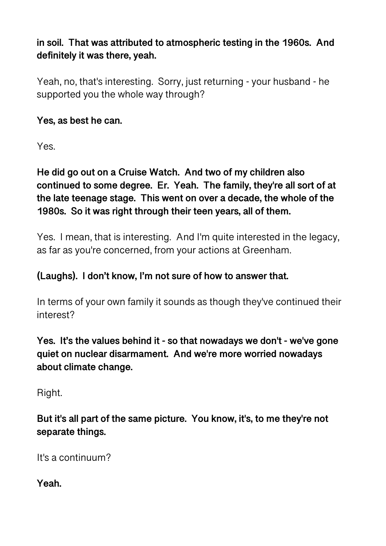**in soil. That was attributed to atmospheric testing in the 1960s. And definitely it was there, yeah.** 

Yeah, no, that's interesting. Sorry, just returning - your husband - he supported you the whole way through?

**Yes, as best he can.** 

Yes.

**He did go out on a Cruise Watch. And two of my children also continued to some degree. Er. Yeah. The family, they're all sort of at the late teenage stage. This went on over a decade, the whole of the 1980s. So it was right through their teen years, all of them.** 

Yes. I mean, that is interesting. And I'm quite interested in the legacy, as far as you're concerned, from your actions at Greenham.

#### **(Laughs). I don't know, I'm not sure of how to answer that.**

In terms of your own family it sounds as though they've continued their interest?

**Yes. It's the values behind it - so that nowadays we don't - we've gone quiet on nuclear disarmament. And we're more worried nowadays about climate change.** 

Right.

**But it's all part of the same picture. You know, it's, to me they're not separate things.** 

It's a continuum?

**Yeah.**